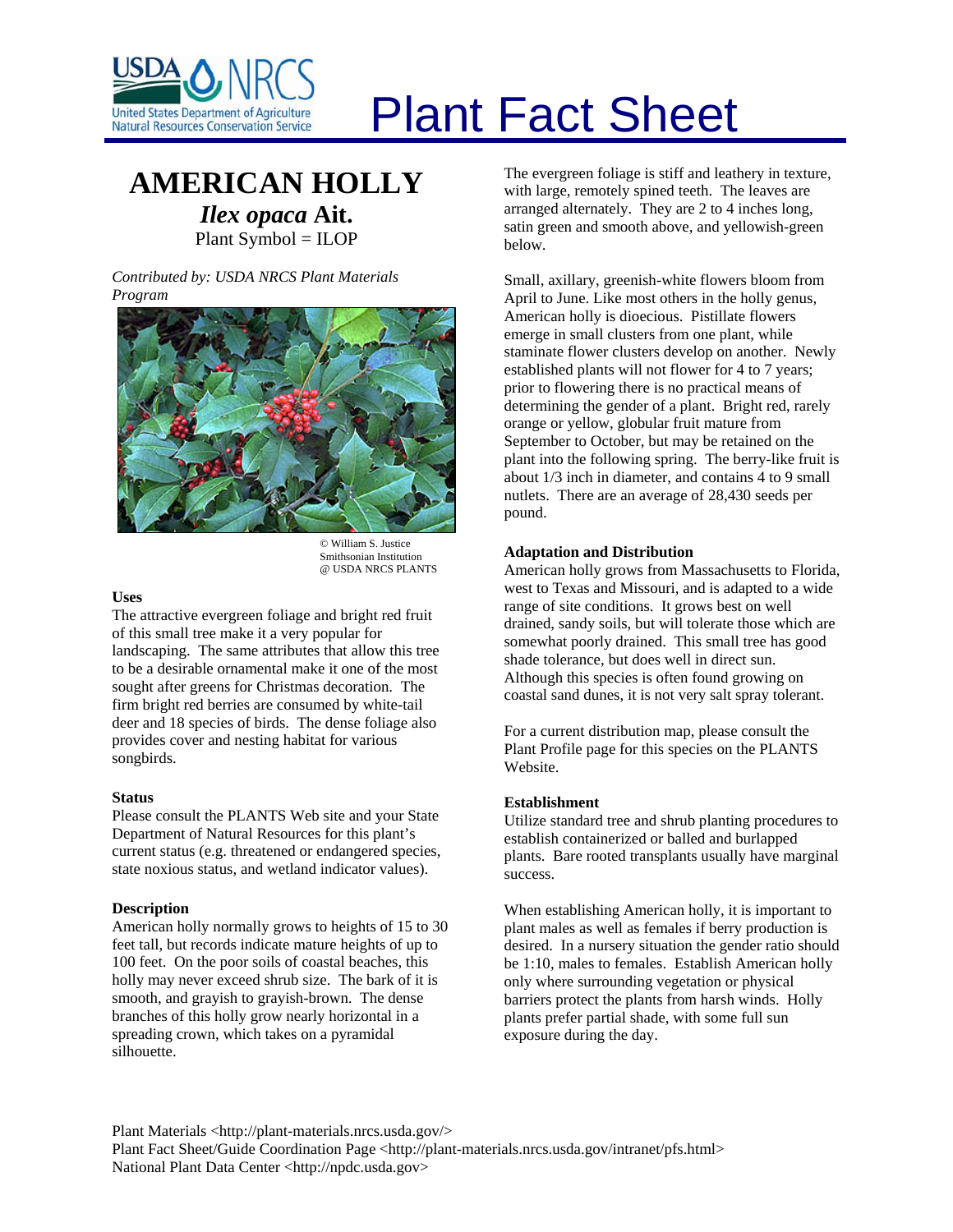

# Plant Fact Sheet

# **AMERICAN HOLLY** *Ilex opaca* **Ait.**

Plant Symbol = ILOP

*Contributed by: USDA NRCS Plant Materials Program* 



© William S. Justice Smithsonian Institution @ USDA NRCS PLANTS

#### **Uses**

The attractive evergreen foliage and bright red fruit of this small tree make it a very popular for landscaping. The same attributes that allow this tree to be a desirable ornamental make it one of the most sought after greens for Christmas decoration. The firm bright red berries are consumed by white-tail deer and 18 species of birds. The dense foliage also provides cover and nesting habitat for various songbirds.

## **Status**

Please consult the PLANTS Web site and your State Department of Natural Resources for this plant's current status (e.g. threatened or endangered species, state noxious status, and wetland indicator values).

## **Description**

American holly normally grows to heights of 15 to 30 feet tall, but records indicate mature heights of up to 100 feet. On the poor soils of coastal beaches, this holly may never exceed shrub size. The bark of it is smooth, and grayish to grayish-brown. The dense branches of this holly grow nearly horizontal in a spreading crown, which takes on a pyramidal silhouette.

The evergreen foliage is stiff and leathery in texture, with large, remotely spined teeth. The leaves are arranged alternately. They are 2 to 4 inches long, satin green and smooth above, and yellowish-green below.

Small, axillary, greenish-white flowers bloom from April to June. Like most others in the holly genus, American holly is dioecious. Pistillate flowers emerge in small clusters from one plant, while staminate flower clusters develop on another. Newly established plants will not flower for 4 to 7 years; prior to flowering there is no practical means of determining the gender of a plant. Bright red, rarely orange or yellow, globular fruit mature from September to October, but may be retained on the plant into the following spring. The berry-like fruit is about 1/3 inch in diameter, and contains 4 to 9 small nutlets. There are an average of 28,430 seeds per pound.

#### **Adaptation and Distribution**

American holly grows from Massachusetts to Florida, west to Texas and Missouri, and is adapted to a wide range of site conditions. It grows best on well drained, sandy soils, but will tolerate those which are somewhat poorly drained. This small tree has good shade tolerance, but does well in direct sun. Although this species is often found growing on coastal sand dunes, it is not very salt spray tolerant.

For a current distribution map, please consult the Plant Profile page for this species on the PLANTS Website.

## **Establishment**

Utilize standard tree and shrub planting procedures to establish containerized or balled and burlapped plants. Bare rooted transplants usually have marginal success.

When establishing American holly, it is important to plant males as well as females if berry production is desired. In a nursery situation the gender ratio should be 1:10, males to females. Establish American holly only where surrounding vegetation or physical barriers protect the plants from harsh winds. Holly plants prefer partial shade, with some full sun exposure during the day.

Plant Materials <http://plant-materials.nrcs.usda.gov/> Plant Fact Sheet/Guide Coordination Page <http://plant-materials.nrcs.usda.gov/intranet/pfs.html> National Plant Data Center <http://npdc.usda.gov>